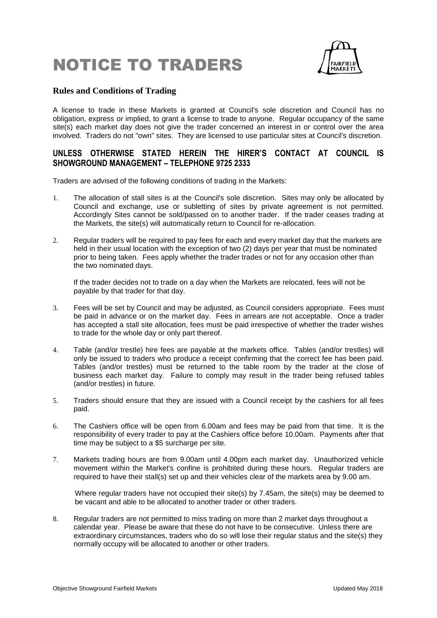## NOTICE TO TRADERS



## **Rules and Conditions of Trading**

A license to trade in these Markets is granted at Council's sole discretion and Council has no obligation, express or implied, to grant a license to trade to anyone. Regular occupancy of the same site(s) each market day does not give the trader concerned an interest in or control over the area involved. Traders do not "own" sites. They are licensed to use particular sites at Council's discretion.

## **UNLESS OTHERWISE STATED HEREIN THE HIRER'S CONTACT AT COUNCIL IS SHOWGROUND MANAGEMENT – TELEPHONE 9725 2333**

Traders are advised of the following conditions of trading in the Markets:

- 1. The allocation of stall sites is at the Council's sole discretion. Sites may only be allocated by Council and exchange, use or subletting of sites by private agreement is not permitted. Accordingly Sites cannot be sold/passed on to another trader. If the trader ceases trading at the Markets, the site(s) will automatically return to Council for re-allocation.
- 2. Regular traders will be required to pay fees for each and every market day that the markets are held in their usual location with the exception of two (2) days per year that must be nominated prior to being taken. Fees apply whether the trader trades or not for any occasion other than the two nominated days.

If the trader decides not to trade on a day when the Markets are relocated, fees will not be payable by that trader for that day.

- 3. Fees will be set by Council and may be adjusted, as Council considers appropriate. Fees must be paid in advance or on the market day. Fees in arrears are not acceptable. Once a trader has accepted a stall site allocation, fees must be paid irrespective of whether the trader wishes to trade for the whole day or only part thereof.
- 4. Table (and/or trestle) hire fees are payable at the markets office. Tables (and/or trestles) will only be issued to traders who produce a receipt confirming that the correct fee has been paid. Tables (and/or trestles) must be returned to the table room by the trader at the close of business each market day. Failure to comply may result in the trader being refused tables (and/or trestles) in future.
- 5. Traders should ensure that they are issued with a Council receipt by the cashiers for all fees paid.
- 6. The Cashiers office will be open from 6.00am and fees may be paid from that time. It is the responsibility of every trader to pay at the Cashiers office before 10.00am. Payments after that time may be subject to a \$5 surcharge per site.
- 7. Markets trading hours are from 9.00am until 4.00pm each market day. Unauthorized vehicle movement within the Market's confine is prohibited during these hours. Regular traders are required to have their stall(s) set up and their vehicles clear of the markets area by 9.00 am.

Where regular traders have not occupied their site(s) by 7.45am, the site(s) may be deemed to be vacant and able to be allocated to another trader or other traders.

8. Regular traders are not permitted to miss trading on more than 2 market days throughout a calendar year. Please be aware that these do not have to be consecutive. Unless there are extraordinary circumstances, traders who do so will lose their regular status and the site(s) they normally occupy will be allocated to another or other traders.